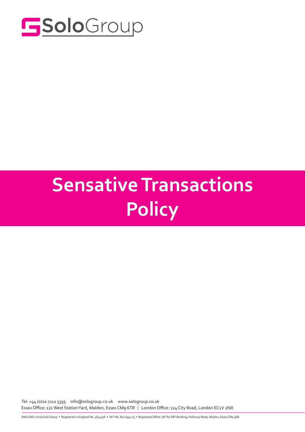

# Solo **Sensative Transactions Policy**

*Tel:* +44 (0)20 7112 5355 info@sologroup.co.uk www.sologroup.co.uk Essex Office: 12c West Station Yard, Maldon, Essex CM9 6TR | London Office: 124 City Road, London EC1V 2NX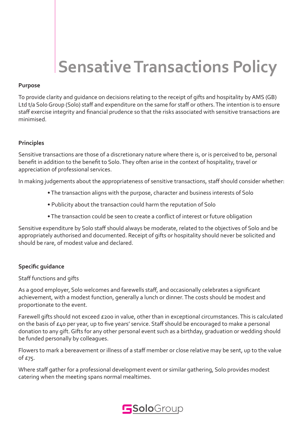# **Sensative Transactions Policy**

#### **Purpose**

To provide clarity and guidance on decisions relating to the receipt of gifts and hospitality by AMS (GB) Ltd t/a Solo Group (Solo) staff and expenditure on the same for staff or others. The intention is to ensure staff exercise integrity and financial prudence so that the risks associated with sensitive transactions are minimised.

#### **Principles**

Sensitive transactions are those of a discretionary nature where there is, or is perceived to be, personal benefit in addition to the benefit to Solo. They often arise in the context of hospitality, travel or appreciation of professional services.

In making judgements about the appropriateness of sensitive transactions, staff should consider whether:

- The transaction aligns with the purpose, character and business interests of Solo
- Publicity about the transaction could harm the reputation of Solo
- The transaction could be seen to create a conflict of interest or future obligation

Sensitive expenditure by Solo staff should always be moderate, related to the objectives of Solo and be appropriately authorised and documented. Receipt of gifts or hospitality should never be solicited and should be rare, of modest value and declared.

# **Specific guidance**

Staff functions and gifts

As a good employer, Solo welcomes and farewells staff, and occasionally celebrates a significant achievement, with a modest function, generally a lunch or dinner. The costs should be modest and proportionate to the event.

Farewell gifts should not exceed £200 in value, other than in exceptional circumstances. This is calculated on the basis of £40 per year, up to five years' service. Staff should be encouraged to make a personal donation to any gift. Gifts for any other personal event such as a birthday, graduation or wedding should be funded personally by colleagues.

Flowers to mark a bereavement or illness of a staff member or close relative may be sent, up to the value of £75.

Where staff gather for a professional development event or similar gathering, Solo provides modest catering when the meeting spans normal mealtimes.

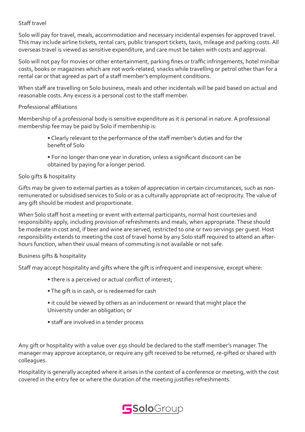# Staff travel

Solo will pay for travel, meals, accommodation and necessary incidental expenses for approved travel. This may include airline tickets, rental cars, public transport tickets, taxis, mileage and parking costs. All overseas travel is viewed as sensitive expenditure, and care must be taken with costs and approval.

Solo will not pay for movies or other entertainment, parking fines or traffic infringements, hotel minibar costs, books or magazines which are not work-related, snacks while travelling or petrol other than for a rental car or that agreed as part of a staff member's employment conditions.

When staff are travelling on Solo business, meals and other incidentals will be paid based on actual and reasonable costs. Any excess is a personal cost to the staff member.

#### Professional affiliations

Membership of a professional body is sensitive expenditure as it is personal in nature. A professional membership fee may be paid by Solo if membership is:

- Clearly relevant to the performance of the staff member's duties and for the benefit of Solo
- For no longer than one year in duration, unless a significant discount can be obtained by paying for a longer period.

#### Solo gifts & hospitality

Gifts may be given to external parties as a token of appreciation in certain circumstances, such as nonremunerated or subsidised services to Solo or as a culturally appropriate act of reciprocity. The value of any gift should be modest and proportionate.

When Solo staff host a meeting or event with external participants, normal host courtesies and responsibility apply, including provision of refreshments and meals, when appropriate. These should be moderate in cost and, if beer and wine are served, restricted to one or two servings per guest. Host responsibility extends to meeting the cost of travel home by any Solo staff required to attend an afterhours function, when their usual means of commuting is not available or not safe.

#### Business gifts & hospitality

Staff may accept hospitality and gifts where the gift is infrequent and inexpensive, except where:

- there is a perceived or actual conflict of interest;
- The gift is in cash, or is redeemed for cash
- it could be viewed by others as an inducement or reward that might place the University under an obligation; or
- staff are involved in a tender process

Any gift or hospitality with a value over £50 should be declared to the staff member's manager. The manager may approve acceptance, or require any gift received to be returned, re-gifted or shared with colleagues.

Hospitality is generally accepted where it arises in the context of a conference or meeting, with the cost covered in the entry fee or where the duration of the meeting justifies refreshments.